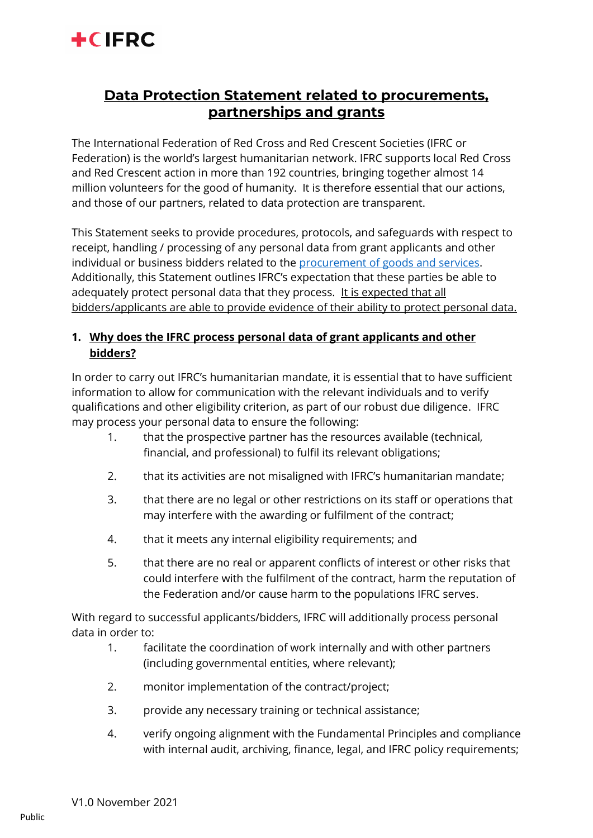

# **Data Protection Statement related to procurements, partnerships and grants**

The International Federation of Red Cross and Red Crescent Societies (IFRC or Federation) is the world's largest humanitarian network. IFRC supports local Red Cross and Red Crescent action in more than 192 countries, bringing together almost 14 million volunteers for the good of humanity. It is therefore essential that our actions, and those of our partners, related to data protection are transparent.

This Statement seeks to provide procedures, protocols, and safeguards with respect to receipt, handling / processing of any personal data from grant applicants and other individual or business bidders related to the [procurement of goods and services.](https://www.ifrc.org/suppliers) Additionally, this Statement outlines IFRC's expectation that these parties be able to adequately protect personal data that they process. It is expected that all bidders/applicants are able to provide evidence of their ability to protect personal data.

# **1. Why does the IFRC process personal data of grant applicants and other bidders?**

In order to carry out IFRC's humanitarian mandate, it is essential that to have sufficient information to allow for communication with the relevant individuals and to verify qualifications and other eligibility criterion, as part of our robust due diligence. IFRC may process your personal data to ensure the following:

- 1. that the prospective partner has the resources available (technical, financial, and professional) to fulfil its relevant obligations;
- 2. that its activities are not misaligned with IFRC's humanitarian mandate;
- 3. that there are no legal or other restrictions on its staff or operations that may interfere with the awarding or fulfilment of the contract;
- 4. that it meets any internal eligibility requirements; and
- 5. that there are no real or apparent conflicts of interest or other risks that could interfere with the fulfilment of the contract, harm the reputation of the Federation and/or cause harm to the populations IFRC serves.

With regard to successful applicants/bidders, IFRC will additionally process personal data in order to:

- 1. facilitate the coordination of work internally and with other partners (including governmental entities, where relevant);
- 2. monitor implementation of the contract/project;
- 3. provide any necessary training or technical assistance;
- 4. verify ongoing alignment with the Fundamental Principles and compliance with internal audit, archiving, finance, legal, and IFRC policy requirements;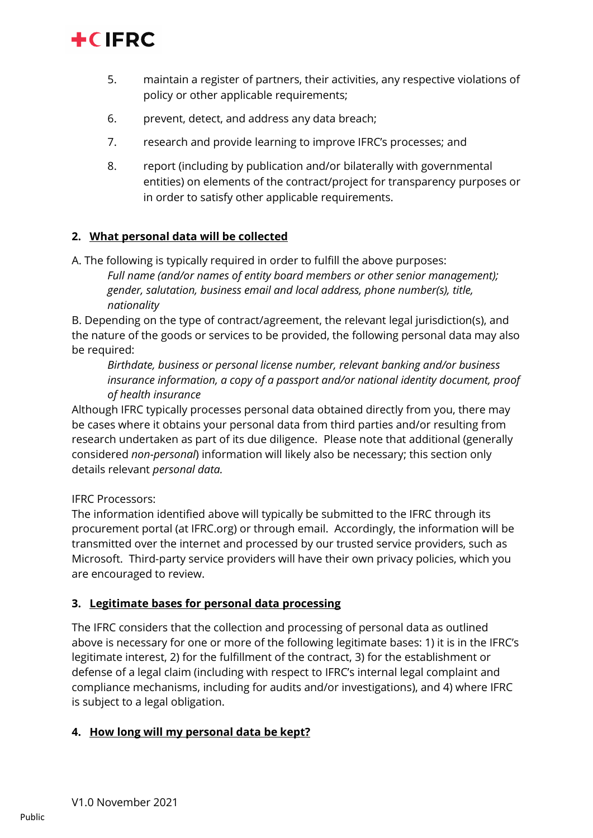

- 5. maintain a register of partners, their activities, any respective violations of policy or other applicable requirements;
- 6. prevent, detect, and address any data breach;
- 7. research and provide learning to improve IFRC's processes; and
- 8. report (including by publication and/or bilaterally with governmental entities) on elements of the contract/project for transparency purposes or in order to satisfy other applicable requirements.

#### **2. What personal data will be collected**

A. The following is typically required in order to fulfill the above purposes: *Full name (and/or names of entity board members or other senior management); gender, salutation, business email and local address, phone number(s), title, nationality*

B. Depending on the type of contract/agreement, the relevant legal jurisdiction(s), and the nature of the goods or services to be provided, the following personal data may also be required:

*Birthdate, business or personal license number, relevant banking and/or business insurance information, a copy of a passport and/or national identity document, proof of health insurance*

Although IFRC typically processes personal data obtained directly from you, there may be cases where it obtains your personal data from third parties and/or resulting from research undertaken as part of its due diligence. Please note that additional (generally considered *non-personal*) information will likely also be necessary; this section only details relevant *personal data.*

#### IFRC Processors:

The information identified above will typically be submitted to the IFRC through its procurement portal (at IFRC.org) or through email. Accordingly, the information will be transmitted over the internet and processed by our trusted service providers, such as Microsoft. Third-party service providers will have their own privacy policies, which you are encouraged to review.

#### **3. Legitimate bases for personal data processing**

The IFRC considers that the collection and processing of personal data as outlined above is necessary for one or more of the following legitimate bases: 1) it is in the IFRC's legitimate interest, 2) for the fulfillment of the contract, 3) for the establishment or defense of a legal claim (including with respect to IFRC's internal legal complaint and compliance mechanisms, including for audits and/or investigations), and 4) where IFRC is subject to a legal obligation.

#### **4. How long will my personal data be kept?**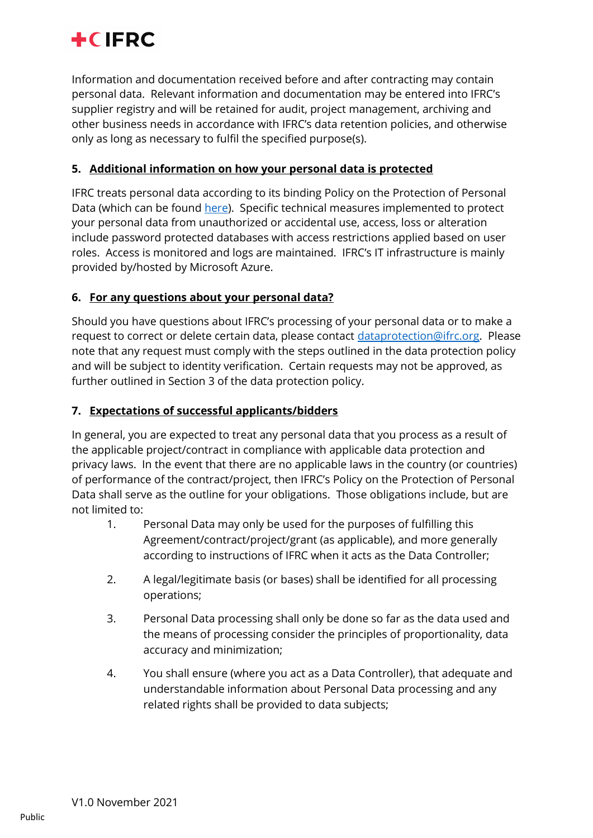

Information and documentation received before and after contracting may contain personal data. Relevant information and documentation may be entered into IFRC's supplier registry and will be retained for audit, project management, archiving and other business needs in accordance with IFRC's data retention policies, and otherwise only as long as necessary to fulfil the specified purpose(s).

## **5. Additional information on how your personal data is protected**

IFRC treats personal data according to its binding Policy on the Protection of Personal Data (which can be found [here\)](http://www.ifrc.org/data-protection). Specific technical measures implemented to protect your personal data from unauthorized or accidental use, access, loss or alteration include password protected databases with access restrictions applied based on user roles. Access is monitored and logs are maintained. IFRC's IT infrastructure is mainly provided by/hosted by Microsoft Azure.

## **6. For any questions about your personal data?**

Should you have questions about IFRC's processing of your personal data or to make a request to correct or delete certain data, please contact [dataprotection@ifrc.org.](mailto:dataprotection@ifrc.org) Please note that any request must comply with the steps outlined in the data protection policy and will be subject to identity verification. Certain requests may not be approved, as further outlined in Section 3 of the data protection policy.

#### **7. Expectations of successful applicants/bidders**

In general, you are expected to treat any personal data that you process as a result of the applicable project/contract in compliance with applicable data protection and privacy laws. In the event that there are no applicable laws in the country (or countries) of performance of the contract/project, then IFRC's Policy on the Protection of Personal Data shall serve as the outline for your obligations. Those obligations include, but are not limited to:

- 1. Personal Data may only be used for the purposes of fulfilling this Agreement/contract/project/grant (as applicable), and more generally according to instructions of IFRC when it acts as the Data Controller;
- 2. A legal/legitimate basis (or bases) shall be identified for all processing operations;
- 3. Personal Data processing shall only be done so far as the data used and the means of processing consider the principles of proportionality, data accuracy and minimization;
- 4. You shall ensure (where you act as a Data Controller), that adequate and understandable information about Personal Data processing and any related rights shall be provided to data subjects;